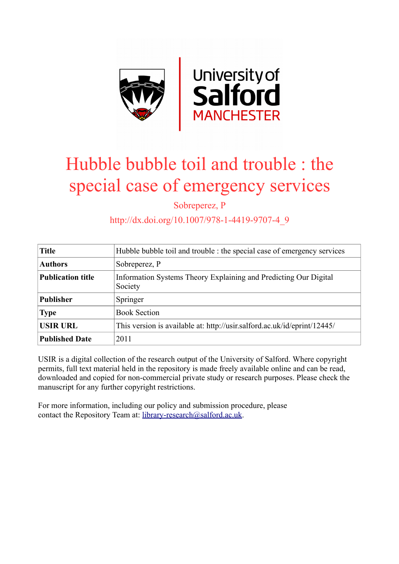

# Hubble bubble toil and trouble : the special case of emergency services

Sobreperez, P

http://dx.doi.org/10.1007/978-1-4419-9707-4\_9

| <b>Title</b>             | Hubble bubble toil and trouble : the special case of emergency services     |
|--------------------------|-----------------------------------------------------------------------------|
| <b>Authors</b>           | Sobreperez, P                                                               |
| <b>Publication title</b> | Information Systems Theory Explaining and Predicting Our Digital<br>Society |
| <b>Publisher</b>         | Springer                                                                    |
| <b>Type</b>              | <b>Book Section</b>                                                         |
| <b>USIR URL</b>          | This version is available at: http://usir.salford.ac.uk/id/eprint/12445/    |
| <b>Published Date</b>    | 2011                                                                        |

USIR is a digital collection of the research output of the University of Salford. Where copyright permits, full text material held in the repository is made freely available online and can be read, downloaded and copied for non-commercial private study or research purposes. Please check the manuscript for any further copyright restrictions.

For more information, including our policy and submission procedure, please contact the Repository Team at: [library-research@salford.ac.uk.](mailto:library-research@salford.ac.uk)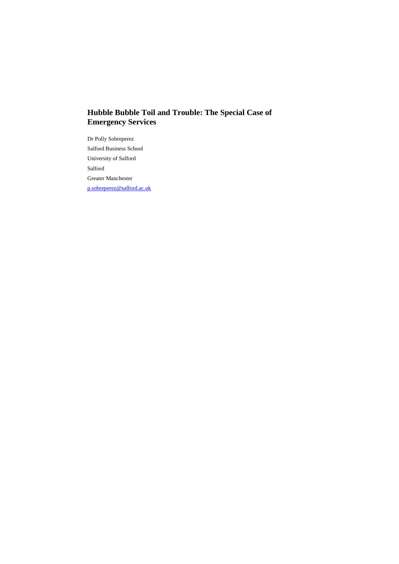## **Hubble Bubble Toil and Trouble: The Special Case of Emergency Services**

Dr Polly Sobreperez Salford Business School University of Salford Salford Greater Manchester [p.sobreperez@salford.ac.uk](mailto:p.sobreperez@salford.ac.uk)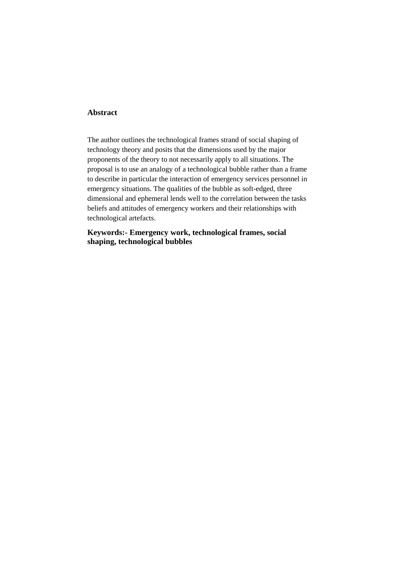## **Abstract**

The author outlines the technological frames strand of social shaping of technology theory and posits that the dimensions used by the major proponents of the theory to not necessarily apply to all situations. The proposal is to use an analogy of a technological bubble rather than a frame to describe in particular the interaction of emergency services personnel in emergency situations. The qualities of the bubble as soft-edged, three dimensional and ephemeral lends well to the correlation between the tasks beliefs and attitudes of emergency workers and their relationships with technological artefacts.

**Keywords:- Emergency work, technological frames, social shaping, technological bubbles**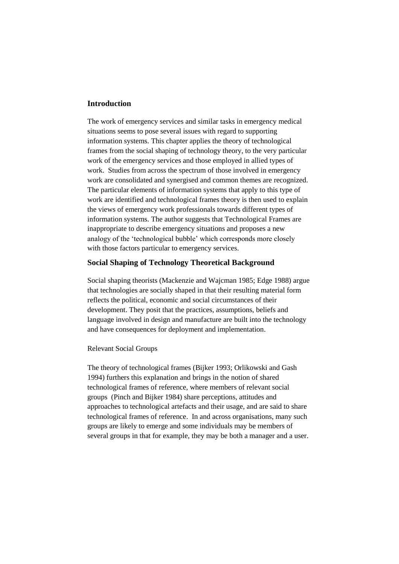## **Introduction**

The work of emergency services and similar tasks in emergency medical situations seems to pose several issues with regard to supporting information systems. This chapter applies the theory of technological frames from the social shaping of technology theory, to the very particular work of the emergency services and those employed in allied types of work. Studies from across the spectrum of those involved in emergency work are consolidated and synergised and common themes are recognized. The particular elements of information systems that apply to this type of work are identified and technological frames theory is then used to explain the views of emergency work professionals towards different types of information systems. The author suggests that Technological Frames are inappropriate to describe emergency situations and proposes a new analogy of the 'technological bubble' which corresponds more closely with those factors particular to emergency services.

### **Social Shaping of Technology Theoretical Background**

Social shaping theorists (Mackenzie and Wajcman 1985; Edge 1988) argue that technologies are socially shaped in that their resulting material form reflects the political, economic and social circumstances of their development. They posit that the practices, assumptions, beliefs and language involved in design and manufacture are built into the technology and have consequences for deployment and implementation.

Relevant Social Groups

The theory of technological frames (Bijker 1993; Orlikowski and Gash 1994) furthers this explanation and brings in the notion of shared technological frames of reference, where members of relevant social groups (Pinch and Bijker 1984) share perceptions, attitudes and approaches to technological artefacts and their usage, and are said to share technological frames of reference. In and across organisations, many such groups are likely to emerge and some individuals may be members of several groups in that for example, they may be both a manager and a user.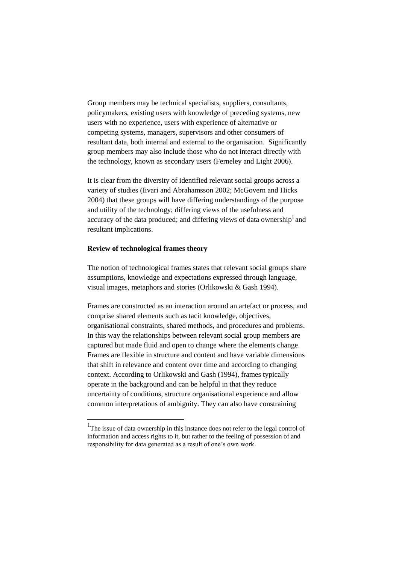Group members may be technical specialists, suppliers, consultants, policymakers, existing users with knowledge of preceding systems, new users with no experience, users with experience of alternative or competing systems, managers, supervisors and other consumers of resultant data, both internal and external to the organisation. Significantly group members may also include those who do not interact directly with the technology, known as secondary users (Ferneley and Light 2006).

It is clear from the diversity of identified relevant social groups across a variety of studies (Iivari and Abrahamsson 2002; McGovern and Hicks 2004) that these groups will have differing understandings of the purpose and utility of the technology; differing views of the usefulness and accuracy of the data produced; and differing views of data ownership $^1$  and resultant implications.

## **Review of technological frames theory**

1

The notion of technological frames states that relevant social groups share assumptions, knowledge and expectations expressed through language, visual images, metaphors and stories (Orlikowski & Gash 1994).

Frames are constructed as an interaction around an artefact or process, and comprise shared elements such as tacit knowledge, objectives, organisational constraints, shared methods, and procedures and problems. In this way the relationships between relevant social group members are captured but made fluid and open to change where the elements change. Frames are flexible in structure and content and have variable dimensions that shift in relevance and content over time and according to changing context. According to Orlikowski and Gash (1994), frames typically operate in the background and can be helpful in that they reduce uncertainty of conditions, structure organisational experience and allow common interpretations of ambiguity. They can also have constraining

<sup>&</sup>lt;sup>1</sup>The issue of data ownership in this instance does not refer to the legal control of information and access rights to it, but rather to the feeling of possession of and responsibility for data generated as a result of one's own work.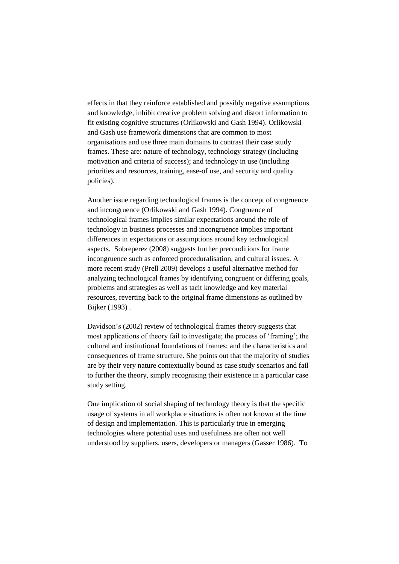effects in that they reinforce established and possibly negative assumptions and knowledge, inhibit creative problem solving and distort information to fit existing cognitive structures (Orlikowski and Gash 1994). Orlikowski and Gash use framework dimensions that are common to most organisations and use three main domains to contrast their case study frames. These are: nature of technology, technology strategy (including motivation and criteria of success); and technology in use (including priorities and resources, training, ease-of use, and security and quality policies).

Another issue regarding technological frames is the concept of congruence and incongruence (Orlikowski and Gash 1994). Congruence of technological frames implies similar expectations around the role of technology in business processes and incongruence implies important differences in expectations or assumptions around key technological aspects. Sobreperez (2008) suggests further preconditions for frame incongruence such as enforced proceduralisation, and cultural issues. A more recent study (Prell 2009) develops a useful alternative method for analyzing technological frames by identifying congruent or differing goals, problems and strategies as well as tacit knowledge and key material resources, reverting back to the original frame dimensions as outlined by Bijker (1993) .

Davidson's (2002) review of technological frames theory suggests that most applications of theory fail to investigate; the process of 'framing'; the cultural and institutional foundations of frames; and the characteristics and consequences of frame structure. She points out that the majority of studies are by their very nature contextually bound as case study scenarios and fail to further the theory, simply recognising their existence in a particular case study setting.

One implication of social shaping of technology theory is that the specific usage of systems in all workplace situations is often not known at the time of design and implementation. This is particularly true in emerging technologies where potential uses and usefulness are often not well understood by suppliers, users, developers or managers (Gasser 1986). To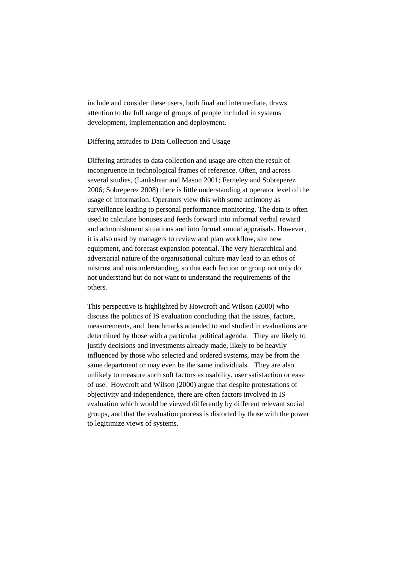include and consider these users, both final and intermediate, draws attention to the full range of groups of people included in systems development, implementation and deployment.

Differing attitudes to Data Collection and Usage

Differing attitudes to data collection and usage are often the result of incongruence in technological frames of reference. Often, and across several studies, (Lankshear and Mason 2001; Ferneley and Sobreperez 2006; Sobreperez 2008) there is little understanding at operator level of the usage of information. Operators view this with some acrimony as surveillance leading to personal performance monitoring. The data is often used to calculate bonuses and feeds forward into informal verbal reward and admonishment situations and into formal annual appraisals. However, it is also used by managers to review and plan workflow, site new equipment, and forecast expansion potential. The very hierarchical and adversarial nature of the organisational culture may lead to an ethos of mistrust and misunderstanding, so that each faction or group not only do not understand but do not want to understand the requirements of the others.

This perspective is highlighted by Howcroft and Wilson (2000) who discuss the politics of IS evaluation concluding that the issues, factors, measurements, and benchmarks attended to and studied in evaluations are determined by those with a particular political agenda. They are likely to justify decisions and investments already made, likely to be heavily influenced by those who selected and ordered systems, may be from the same department or may even be the same individuals. They are also unlikely to measure such soft factors as usability, user satisfaction or ease of use. Howcroft and Wilson (2000) argue that despite protestations of objectivity and independence, there are often factors involved in IS evaluation which would be viewed differently by different relevant social groups, and that the evaluation process is distorted by those with the power to legitimize views of systems.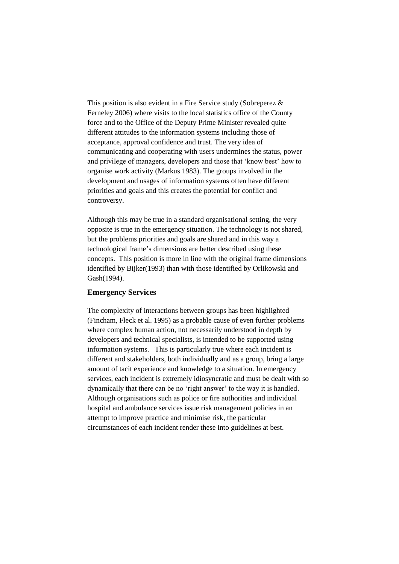This position is also evident in a Fire Service study (Sobreperez & Ferneley 2006) where visits to the local statistics office of the County force and to the Office of the Deputy Prime Minister revealed quite different attitudes to the information systems including those of acceptance, approval confidence and trust. The very idea of communicating and cooperating with users undermines the status, power and privilege of managers, developers and those that 'know best' how to organise work activity (Markus 1983). The groups involved in the development and usages of information systems often have different priorities and goals and this creates the potential for conflict and controversy.

Although this may be true in a standard organisational setting, the very opposite is true in the emergency situation. The technology is not shared, but the problems priorities and goals are shared and in this way a technological frame's dimensions are better described using these concepts. This position is more in line with the original frame dimensions identified by Bijker(1993) than with those identified by Orlikowski and Gash(1994).

## **Emergency Services**

The complexity of interactions between groups has been highlighted (Fincham, Fleck et al. 1995) as a probable cause of even further problems where complex human action, not necessarily understood in depth by developers and technical specialists, is intended to be supported using information systems. This is particularly true where each incident is different and stakeholders, both individually and as a group, bring a large amount of tacit experience and knowledge to a situation. In emergency services, each incident is extremely idiosyncratic and must be dealt with so dynamically that there can be no 'right answer' to the way it is handled. Although organisations such as police or fire authorities and individual hospital and ambulance services issue risk management policies in an attempt to improve practice and minimise risk, the particular circumstances of each incident render these into guidelines at best.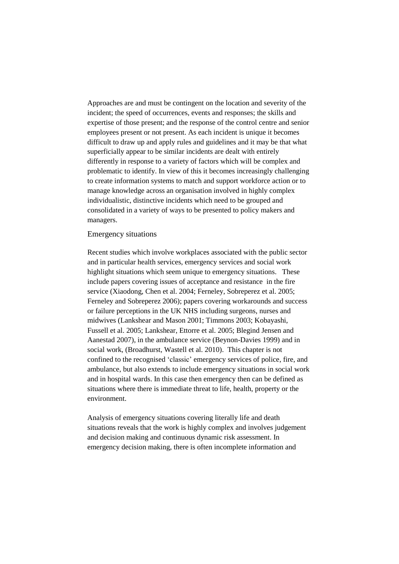Approaches are and must be contingent on the location and severity of the incident; the speed of occurrences, events and responses; the skills and expertise of those present; and the response of the control centre and senior employees present or not present. As each incident is unique it becomes difficult to draw up and apply rules and guidelines and it may be that what superficially appear to be similar incidents are dealt with entirely differently in response to a variety of factors which will be complex and problematic to identify. In view of this it becomes increasingly challenging to create information systems to match and support workforce action or to manage knowledge across an organisation involved in highly complex individualistic, distinctive incidents which need to be grouped and consolidated in a variety of ways to be presented to policy makers and managers.

## Emergency situations

Recent studies which involve workplaces associated with the public sector and in particular health services, emergency services and social work highlight situations which seem unique to emergency situations. These include papers covering issues of acceptance and resistance in the fire service (Xiaodong, Chen et al. 2004; Ferneley, Sobreperez et al. 2005; Ferneley and Sobreperez 2006); papers covering workarounds and success or failure perceptions in the UK NHS including surgeons, nurses and midwives (Lankshear and Mason 2001; Timmons 2003; Kobayashi, Fussell et al. 2005; Lankshear, Ettorre et al. 2005; Blegind Jensen and Aanestad 2007), in the ambulance service (Beynon-Davies 1999) and in social work, (Broadhurst, Wastell et al. 2010). This chapter is not confined to the recognised 'classic' emergency services of police, fire, and ambulance, but also extends to include emergency situations in social work and in hospital wards. In this case then emergency then can be defined as situations where there is immediate threat to life, health, property or the environment.

Analysis of emergency situations covering literally life and death situations reveals that the work is highly complex and involves judgement and decision making and continuous dynamic risk assessment. In emergency decision making, there is often incomplete information and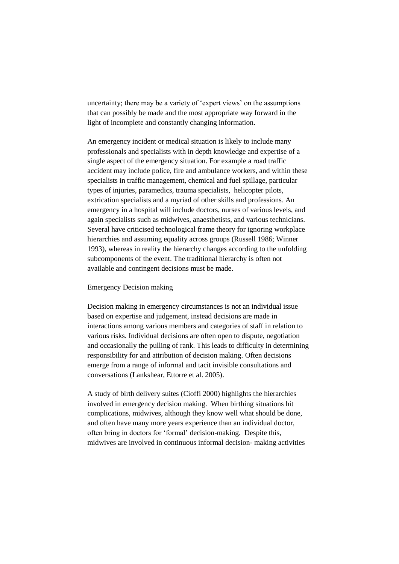uncertainty; there may be a variety of 'expert views' on the assumptions that can possibly be made and the most appropriate way forward in the light of incomplete and constantly changing information.

An emergency incident or medical situation is likely to include many professionals and specialists with in depth knowledge and expertise of a single aspect of the emergency situation. For example a road traffic accident may include police, fire and ambulance workers, and within these specialists in traffic management, chemical and fuel spillage, particular types of injuries, paramedics, trauma specialists, helicopter pilots, extrication specialists and a myriad of other skills and professions. An emergency in a hospital will include doctors, nurses of various levels, and again specialists such as midwives, anaesthetists, and various technicians. Several have criticised technological frame theory for ignoring workplace hierarchies and assuming equality across groups (Russell 1986; Winner 1993), whereas in reality the hierarchy changes according to the unfolding subcomponents of the event. The traditional hierarchy is often not available and contingent decisions must be made.

#### Emergency Decision making

Decision making in emergency circumstances is not an individual issue based on expertise and judgement, instead decisions are made in interactions among various members and categories of staff in relation to various risks. Individual decisions are often open to dispute, negotiation and occasionally the pulling of rank. This leads to difficulty in determining responsibility for and attribution of decision making. Often decisions emerge from a range of informal and tacit invisible consultations and conversations (Lankshear, Ettorre et al. 2005).

A study of birth delivery suites (Cioffi 2000) highlights the hierarchies involved in emergency decision making. When birthing situations hit complications, midwives, although they know well what should be done, and often have many more years experience than an individual doctor, often bring in doctors for 'formal' decision-making. Despite this, midwives are involved in continuous informal decision- making activities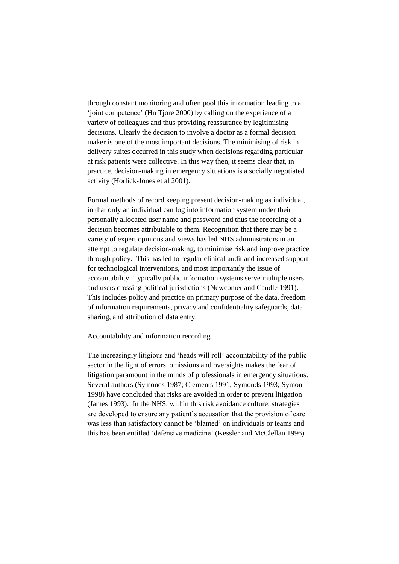through constant monitoring and often pool this information leading to a 'joint competence' (Hn Tjore 2000) by calling on the experience of a variety of colleagues and thus providing reassurance by legitimising decisions. Clearly the decision to involve a doctor as a formal decision maker is one of the most important decisions. The minimising of risk in delivery suites occurred in this study when decisions regarding particular at risk patients were collective. In this way then, it seems clear that, in practice, decision-making in emergency situations is a socially negotiated activity (Horlick-Jones et al 2001).

Formal methods of record keeping present decision-making as individual, in that only an individual can log into information system under their personally allocated user name and password and thus the recording of a decision becomes attributable to them. Recognition that there may be a variety of expert opinions and views has led NHS administrators in an attempt to regulate decision-making, to minimise risk and improve practice through policy. This has led to regular clinical audit and increased support for technological interventions, and most importantly the issue of accountability. Typically public information systems serve multiple users and users crossing political jurisdictions (Newcomer and Caudle 1991). This includes policy and practice on primary purpose of the data, freedom of information requirements, privacy and confidentiality safeguards, data sharing, and attribution of data entry.

#### Accountability and information recording

The increasingly litigious and 'heads will roll' accountability of the public sector in the light of errors, omissions and oversights makes the fear of litigation paramount in the minds of professionals in emergency situations. Several authors (Symonds 1987; Clements 1991; Symonds 1993; Symon 1998) have concluded that risks are avoided in order to prevent litigation (James 1993). In the NHS, within this risk avoidance culture, strategies are developed to ensure any patient's accusation that the provision of care was less than satisfactory cannot be 'blamed' on individuals or teams and this has been entitled 'defensive medicine' (Kessler and McClellan 1996).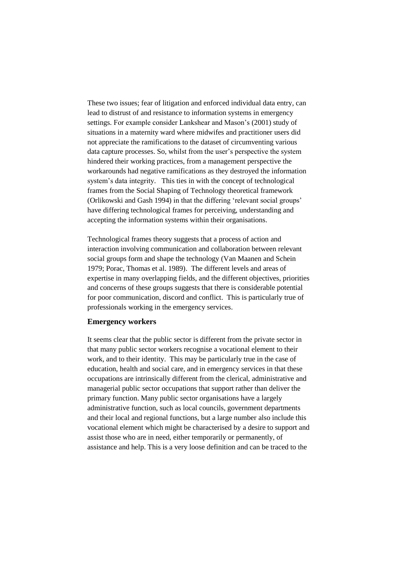These two issues; fear of litigation and enforced individual data entry, can lead to distrust of and resistance to information systems in emergency settings. For example consider Lankshear and Mason's (2001) study of situations in a maternity ward where midwifes and practitioner users did not appreciate the ramifications to the dataset of circumventing various data capture processes. So, whilst from the user's perspective the system hindered their working practices, from a management perspective the workarounds had negative ramifications as they destroyed the information system's data integrity. This ties in with the concept of technological frames from the Social Shaping of Technology theoretical framework (Orlikowski and Gash 1994) in that the differing 'relevant social groups' have differing technological frames for perceiving, understanding and accepting the information systems within their organisations.

Technological frames theory suggests that a process of action and interaction involving communication and collaboration between relevant social groups form and shape the technology (Van Maanen and Schein 1979; Porac, Thomas et al. 1989). The different levels and areas of expertise in many overlapping fields, and the different objectives, priorities and concerns of these groups suggests that there is considerable potential for poor communication, discord and conflict. This is particularly true of professionals working in the emergency services.

## **Emergency workers**

It seems clear that the public sector is different from the private sector in that many public sector workers recognise a vocational element to their work, and to their identity. This may be particularly true in the case of education, health and social care, and in emergency services in that these occupations are intrinsically different from the clerical, administrative and managerial public sector occupations that support rather than deliver the primary function. Many public sector organisations have a largely administrative function, such as local councils, government departments and their local and regional functions, but a large number also include this vocational element which might be characterised by a desire to support and assist those who are in need, either temporarily or permanently, of assistance and help. This is a very loose definition and can be traced to the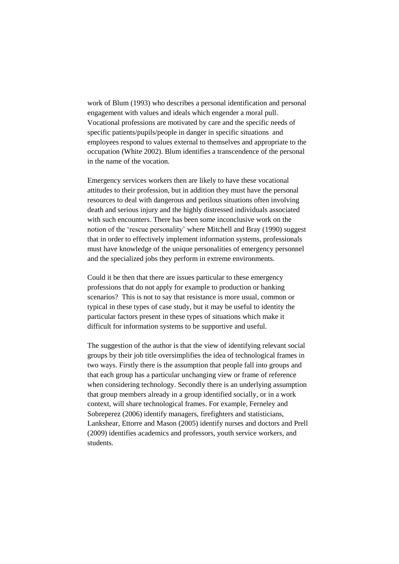work of Blum (1993) who describes a personal identification and personal engagement with values and ideals which engender a moral pull. Vocational professions are motivated by care and the specific needs of specific patients/pupils/people in danger in specific situations and employees respond to values external to themselves and appropriate to the occupation (White 2002). Blum identifies a transcendence of the personal in the name of the vocation.

Emergency services workers then are likely to have these vocational attitudes to their profession, but in addition they must have the personal resources to deal with dangerous and perilous situations often involving death and serious injury and the highly distressed individuals associated with such encounters. There has been some inconclusive work on the notion of the 'rescue personality' where Mitchell and Bray (1990) suggest that in order to effectively implement information systems, professionals must have knowledge of the unique personalities of emergency personnel and the specialized jobs they perform in extreme environments.

Could it be then that there are issues particular to these emergency professions that do not apply for example to production or banking scenarios? This is not to say that resistance is more usual, common or typical in these types of case study, but it may be useful to identity the particular factors present in these types of situations which make it difficult for information systems to be supportive and useful.

The suggestion of the author is that the view of identifying relevant social groups by their job title oversimplifies the idea of technological frames in two ways. Firstly there is the assumption that people fall into groups and that each group has a particular unchanging view or frame of reference when considering technology. Secondly there is an underlying assumption that group members already in a group identified socially, or in a work context, will share technological frames. For example, Ferneley and Sobreperez (2006) identify managers, firefighters and statisticians, Lankshear, Ettorre and Mason (2005) identify nurses and doctors and Prell (2009) identifies academics and professors, youth service workers, and students.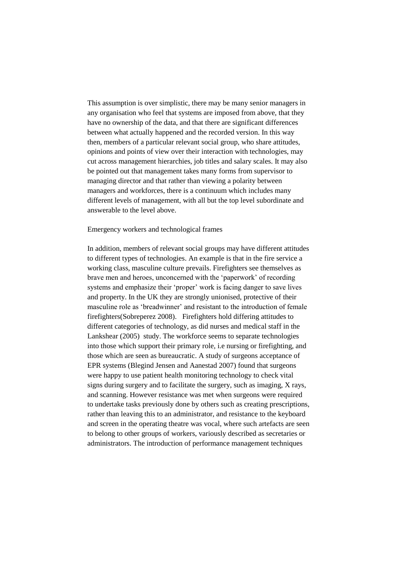This assumption is over simplistic, there may be many senior managers in any organisation who feel that systems are imposed from above, that they have no ownership of the data, and that there are significant differences between what actually happened and the recorded version. In this way then, members of a particular relevant social group, who share attitudes, opinions and points of view over their interaction with technologies, may cut across management hierarchies, job titles and salary scales. It may also be pointed out that management takes many forms from supervisor to managing director and that rather than viewing a polarity between managers and workforces, there is a continuum which includes many different levels of management, with all but the top level subordinate and answerable to the level above.

Emergency workers and technological frames

In addition, members of relevant social groups may have different attitudes to different types of technologies. An example is that in the fire service a working class, masculine culture prevails. Firefighters see themselves as brave men and heroes, unconcerned with the 'paperwork' of recording systems and emphasize their 'proper' work is facing danger to save lives and property. In the UK they are strongly unionised, protective of their masculine role as 'breadwinner' and resistant to the introduction of female firefighters(Sobreperez 2008). Firefighters hold differing attitudes to different categories of technology, as did nurses and medical staff in the Lankshear (2005) study. The workforce seems to separate technologies into those which support their primary role, i.e nursing or firefighting, and those which are seen as bureaucratic. A study of surgeons acceptance of EPR systems (Blegind Jensen and Aanestad 2007) found that surgeons were happy to use patient health monitoring technology to check vital signs during surgery and to facilitate the surgery, such as imaging, X rays, and scanning. However resistance was met when surgeons were required to undertake tasks previously done by others such as creating prescriptions, rather than leaving this to an administrator, and resistance to the keyboard and screen in the operating theatre was vocal, where such artefacts are seen to belong to other groups of workers, variously described as secretaries or administrators. The introduction of performance management techniques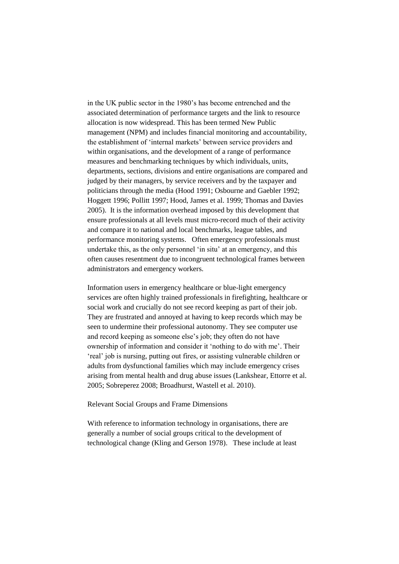in the UK public sector in the 1980's has become entrenched and the associated determination of performance targets and the link to resource allocation is now widespread. This has been termed New Public management (NPM) and includes financial monitoring and accountability, the establishment of 'internal markets' between service providers and within organisations, and the development of a range of performance measures and benchmarking techniques by which individuals, units, departments, sections, divisions and entire organisations are compared and judged by their managers, by service receivers and by the taxpayer and politicians through the media (Hood 1991; Osbourne and Gaebler 1992; Hoggett 1996; Pollitt 1997; Hood, James et al. 1999; Thomas and Davies 2005). It is the information overhead imposed by this development that ensure professionals at all levels must micro-record much of their activity and compare it to national and local benchmarks, league tables, and performance monitoring systems. Often emergency professionals must undertake this, as the only personnel 'in situ' at an emergency, and this often causes resentment due to incongruent technological frames between administrators and emergency workers.

Information users in emergency healthcare or blue-light emergency services are often highly trained professionals in firefighting, healthcare or social work and crucially do not see record keeping as part of their job. They are frustrated and annoyed at having to keep records which may be seen to undermine their professional autonomy. They see computer use and record keeping as someone else's job; they often do not have ownership of information and consider it 'nothing to do with me'. Their 'real' job is nursing, putting out fires, or assisting vulnerable children or adults from dysfunctional families which may include emergency crises arising from mental health and drug abuse issues (Lankshear, Ettorre et al. 2005; Sobreperez 2008; Broadhurst, Wastell et al. 2010).

#### Relevant Social Groups and Frame Dimensions

With reference to information technology in organisations, there are generally a number of social groups critical to the development of technological change (Kling and Gerson 1978). These include at least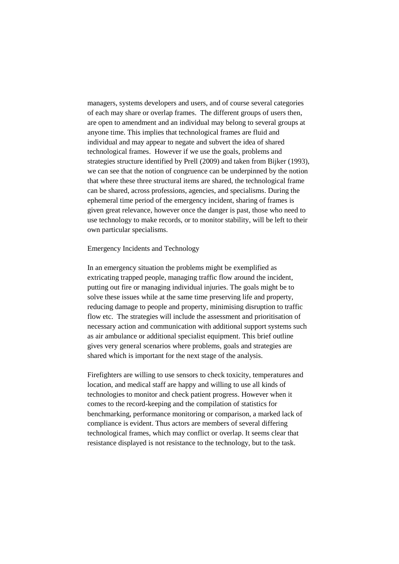managers, systems developers and users, and of course several categories of each may share or overlap frames. The different groups of users then, are open to amendment and an individual may belong to several groups at anyone time. This implies that technological frames are fluid and individual and may appear to negate and subvert the idea of shared technological frames. However if we use the goals, problems and strategies structure identified by Prell (2009) and taken from Bijker (1993), we can see that the notion of congruence can be underpinned by the notion that where these three structural items are shared, the technological frame can be shared, across professions, agencies, and specialisms. During the ephemeral time period of the emergency incident, sharing of frames is given great relevance, however once the danger is past, those who need to use technology to make records, or to monitor stability, will be left to their own particular specialisms.

## Emergency Incidents and Technology

In an emergency situation the problems might be exemplified as extricating trapped people, managing traffic flow around the incident, putting out fire or managing individual injuries. The goals might be to solve these issues while at the same time preserving life and property, reducing damage to people and property, minimising disruption to traffic flow etc. The strategies will include the assessment and prioritisation of necessary action and communication with additional support systems such as air ambulance or additional specialist equipment. This brief outline gives very general scenarios where problems, goals and strategies are shared which is important for the next stage of the analysis.

Firefighters are willing to use sensors to check toxicity, temperatures and location, and medical staff are happy and willing to use all kinds of technologies to monitor and check patient progress. However when it comes to the record-keeping and the compilation of statistics for benchmarking, performance monitoring or comparison, a marked lack of compliance is evident. Thus actors are members of several differing technological frames, which may conflict or overlap. It seems clear that resistance displayed is not resistance to the technology, but to the task.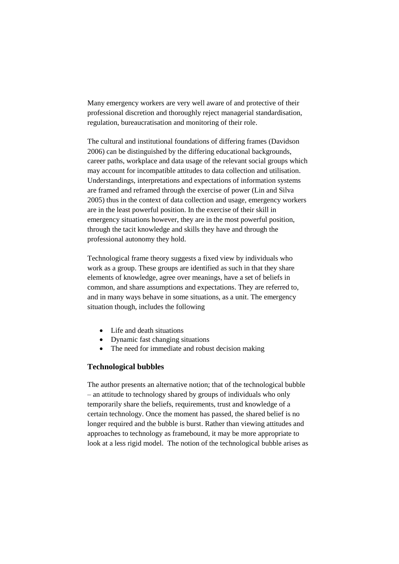Many emergency workers are very well aware of and protective of their professional discretion and thoroughly reject managerial standardisation, regulation, bureaucratisation and monitoring of their role.

The cultural and institutional foundations of differing frames (Davidson 2006) can be distinguished by the differing educational backgrounds, career paths, workplace and data usage of the relevant social groups which may account for incompatible attitudes to data collection and utilisation. Understandings, interpretations and expectations of information systems are framed and reframed through the exercise of power (Lin and Silva 2005) thus in the context of data collection and usage, emergency workers are in the least powerful position. In the exercise of their skill in emergency situations however, they are in the most powerful position, through the tacit knowledge and skills they have and through the professional autonomy they hold.

Technological frame theory suggests a fixed view by individuals who work as a group. These groups are identified as such in that they share elements of knowledge, agree over meanings, have a set of beliefs in common, and share assumptions and expectations. They are referred to, and in many ways behave in some situations, as a unit. The emergency situation though, includes the following

- Life and death situations
- Dynamic fast changing situations
- The need for immediate and robust decision making

## **Technological bubbles**

The author presents an alternative notion; that of the technological bubble – an attitude to technology shared by groups of individuals who only temporarily share the beliefs, requirements, trust and knowledge of a certain technology. Once the moment has passed, the shared belief is no longer required and the bubble is burst. Rather than viewing attitudes and approaches to technology as framebound, it may be more appropriate to look at a less rigid model. The notion of the technological bubble arises as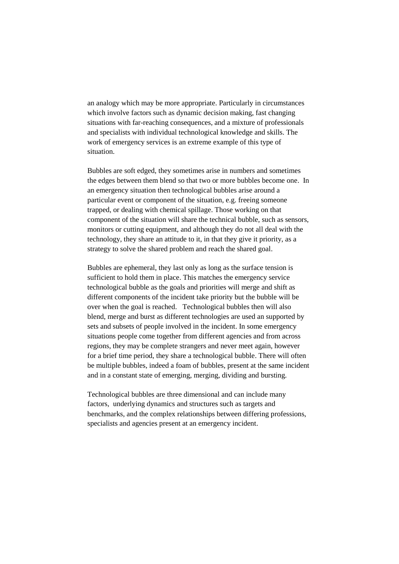an analogy which may be more appropriate. Particularly in circumstances which involve factors such as dynamic decision making, fast changing situations with far-reaching consequences, and a mixture of professionals and specialists with individual technological knowledge and skills. The work of emergency services is an extreme example of this type of situation.

Bubbles are soft edged, they sometimes arise in numbers and sometimes the edges between them blend so that two or more bubbles become one. In an emergency situation then technological bubbles arise around a particular event or component of the situation, e.g. freeing someone trapped, or dealing with chemical spillage. Those working on that component of the situation will share the technical bubble, such as sensors, monitors or cutting equipment, and although they do not all deal with the technology, they share an attitude to it, in that they give it priority, as a strategy to solve the shared problem and reach the shared goal.

Bubbles are ephemeral, they last only as long as the surface tension is sufficient to hold them in place. This matches the emergency service technological bubble as the goals and priorities will merge and shift as different components of the incident take priority but the bubble will be over when the goal is reached. Technological bubbles then will also blend, merge and burst as different technologies are used an supported by sets and subsets of people involved in the incident. In some emergency situations people come together from different agencies and from across regions, they may be complete strangers and never meet again, however for a brief time period, they share a technological bubble. There will often be multiple bubbles, indeed a foam of bubbles, present at the same incident and in a constant state of emerging, merging, dividing and bursting.

Technological bubbles are three dimensional and can include many factors, underlying dynamics and structures such as targets and benchmarks, and the complex relationships between differing professions, specialists and agencies present at an emergency incident.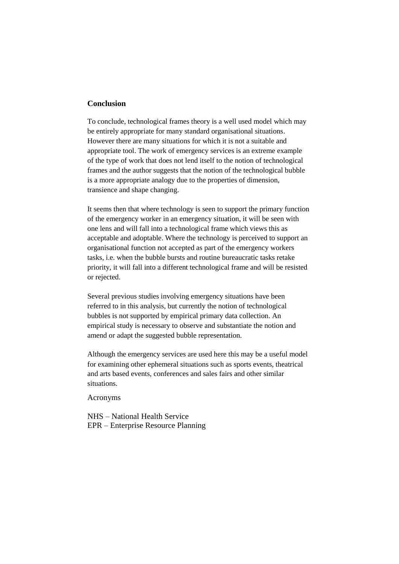## **Conclusion**

To conclude, technological frames theory is a well used model which may be entirely appropriate for many standard organisational situations. However there are many situations for which it is not a suitable and appropriate tool. The work of emergency services is an extreme example of the type of work that does not lend itself to the notion of technological frames and the author suggests that the notion of the technological bubble is a more appropriate analogy due to the properties of dimension, transience and shape changing.

It seems then that where technology is seen to support the primary function of the emergency worker in an emergency situation, it will be seen with one lens and will fall into a technological frame which views this as acceptable and adoptable. Where the technology is perceived to support an organisational function not accepted as part of the emergency workers tasks, i.e. when the bubble bursts and routine bureaucratic tasks retake priority, it will fall into a different technological frame and will be resisted or rejected.

Several previous studies involving emergency situations have been referred to in this analysis, but currently the notion of technological bubbles is not supported by empirical primary data collection. An empirical study is necessary to observe and substantiate the notion and amend or adapt the suggested bubble representation.

Although the emergency services are used here this may be a useful model for examining other ephemeral situations such as sports events, theatrical and arts based events, conferences and sales fairs and other similar situations.

Acronyms

NHS – National Health Service EPR – Enterprise Resource Planning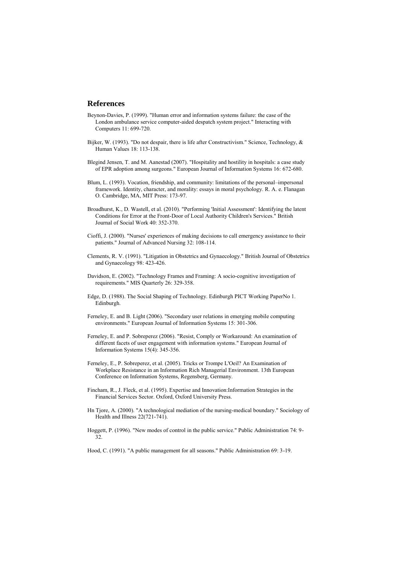#### **References**

- Beynon-Davies, P. (1999). "Human error and information systems failure: the case of the London ambulance service computer-aided despatch system project." Interacting with Computers 11: 699-720.
- Bijker, W. (1993). "Do not despair, there is life after Constructivism." Science, Technology, & Human Values 18: 113-138.
- Blegind Jensen, T. and M. Aanestad (2007). "Hospitality and hostility in hospitals: a case study of EPR adoption among surgeons." European Journal of Information Systems 16: 672-680.
- Blum, L. (1993). Vocation, friendship, and community: limitations of the personal–impersonal framework. Identity, character, and morality: essays in moral psychology. R. A. e. Flanagan O. Cambridge, MA, MIT Press: 173-97.
- Broadhurst, K., D. Wastell, et al. (2010). "Performing 'Initial Assessment': Identifying the latent Conditions for Error at the Front-Door of Local Authority Children's Services." British Journal of Social Work 40: 352-370.
- Cioffi, J. (2000). "Nurses' experiences of making decisions to call emergency assistance to their patients." Journal of Advanced Nursing 32: 108-114.
- Clements, R. V. (1991). "Litigation in Obstetrics and Gynaecology." British Journal of Obstetrics and Gynaecology 98: 423-426.
- Davidson, E. (2002). "Technology Frames and Framing: A socio-cognitive investigation of requirements." MIS Quarterly 26: 329-358.
- Edge, D. (1988). The Social Shaping of Technology. Edinburgh PICT Working PaperNo 1. Edinburgh.
- Ferneley, E. and B. Light (2006). "Secondary user relations in emerging mobile computing environments." European Journal of Information Systems 15: 301-306.
- Ferneley, E. and P. Sobreperez (2006). "Resist, Comply or Workaround: An examination of different facets of user engagement with information systems." European Journal of Information Systems 15(4): 345-356.
- Ferneley, E., P. Sobreperez, et al. (2005). Tricks or Trompe L'Oeil? An Examination of Workplace Resistance in an Information Rich Managerial Environment. 13th European Conference on Information Systems, Regensberg, Germany.
- Fincham, R., J. Fleck, et al. (1995). Expertise and Innovation:Information Strategies in the Financial Services Sector. Oxford, Oxford University Press.
- Hn Tjore, A. (2000). "A technological mediation of the nursing-medical boundary." Sociology of Health and Illness 22(721-741).
- Hoggett, P. (1996). "New modes of control in the public service." Public Administration 74: 9- 32.
- Hood, C. (1991). "A public management for all seasons." Public Administration 69: 3-19.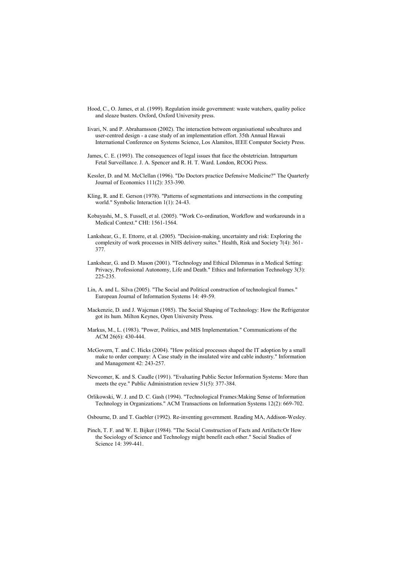- Hood, C., O. James, et al. (1999). Regulation inside government: waste watchers, quality police and sleaze busters. Oxford, Oxford University press.
- Iivari, N. and P. Abrahamsson (2002). The interaction between organisational subcultures and user-centred design - a case study of an implementation effort. 35th Annual Hawaii International Conference on Systems Science, Los Alamitos, IEEE Computer Society Press.
- James, C. E. (1993). The consequences of legal issues that face the obstetrician. Intrapartum Fetal Surveillance. J. A. Spencer and R. H. T. Ward. London, RCOG Press.
- Kessler, D. and M. McClellan (1996). "Do Doctors practice Defensive Medicine?" The Quarterly Journal of Economics 111(2): 353-390.
- Kling, R. and E. Gerson (1978). "Patterns of segmentations and intersections in the computing world." Symbolic Interaction 1(1): 24-43.
- Kobayashi, M., S. Fussell, et al. (2005). "Work Co-ordination, Workflow and workarounds in a Medical Context." CHI: 1561-1564.
- Lankshear, G., E. Ettorre, et al. (2005). "Decision-making, uncertainty and risk: Exploring the complexity of work processes in NHS delivery suites." Health, Risk and Society 7(4): 361- 377.
- Lankshear, G. and D. Mason (2001). "Technology and Ethical Dilemmas in a Medical Setting: Privacy, Professional Autonomy, Life and Death." Ethics and Information Technology 3(3): 225-235.
- Lin, A. and L. Silva (2005). "The Social and Political construction of technological frames." European Journal of Information Systems 14: 49-59.
- Mackenzie, D. and J. Wajcman (1985). The Social Shaping of Technology: How the Refrigerator got its hum. Milton Keynes, Open University Press.
- Markus, M., L. (1983). "Power, Politics, and MIS Implementation." Communications of the ACM 26(6): 430-444.
- McGovern, T. and C. Hicks (2004). "How political processes shaped the IT adoption by a small make to order company: A Case study in the insulated wire and cable industry." Information and Management 42: 243-257.
- Newcomer, K. and S. Caudle (1991). "Evaluating Public Sector Information Systems: More than meets the eye." Public Administration review 51(5): 377-384.
- Orlikowski, W. J. and D. C. Gash (1994). "Technological Frames:Making Sense of Information Technology in Organizations." ACM Transactions on Information Systems 12(2): 669-702.
- Osbourne, D. and T. Gaebler (1992). Re-inventing government. Reading MA, Addison-Wesley.
- Pinch, T. F. and W. E. Bijker (1984). "The Social Construction of Facts and Artifacts:Or How the Sociology of Science and Technology might benefit each other." Social Studies of Science 14: 399-441.